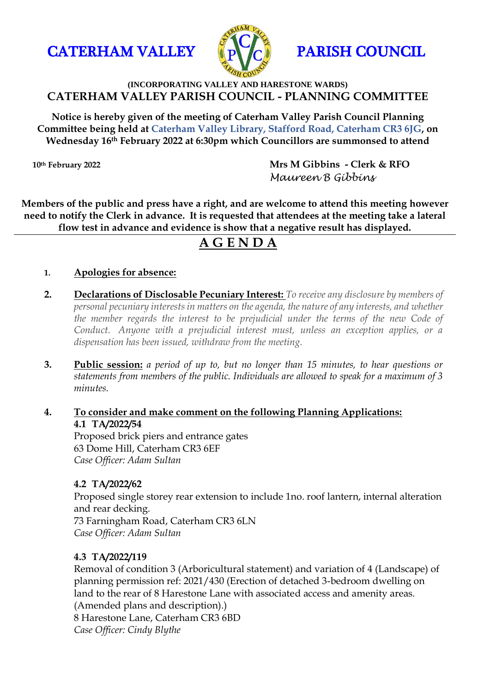



### **(INCORPORATING VALLEY AND HARESTONE WARDS) CATERHAM VALLEY PARISH COUNCIL - PLANNING COMMITTEE**

**Notice is hereby given of the meeting of Caterham Valley Parish Council Planning Committee being held at Caterham Valley Library, Stafford Road, Caterham CR3 6JG, on Wednesday 16th February 2022 at 6:30pm which Councillors are summonsed to attend**

**10th February 2022 Mrs M Gibbins - Clerk & RFO**  *Maureen B Gibbins*

**Members of the public and press have a right, and are welcome to attend this meeting however need to notify the Clerk in advance. It is requested that attendees at the meeting take a lateral flow test in advance and evidence is show that a negative result has displayed.**

# **A G E N D A**

### **1. Apologies for absence:**

- **2. Declarations of Disclosable Pecuniary Interest:** *To receive any disclosure by members of personal pecuniary interests in matters on the agenda, the nature of any interests, and whether the member regards the interest to be prejudicial under the terms of the new Code of Conduct. Anyone with a prejudicial interest must, unless an exception applies, or a dispensation has been issued, withdraw from the meeting.*
- **3. Public session:** *a period of up to, but no longer than 15 minutes, to hear questions or statements from members of the public. Individuals are allowed to speak for a maximum of 3 minutes.*

#### **4. To consider and make comment on the following Planning Applications: 4.1 TA/2022/54** Proposed brick piers and entrance gates

63 Dome Hill, Caterham CR3 6EF *Case Officer: Adam Sultan*

### **4.2 TA/2022/62**

Proposed single storey rear extension to include 1no. roof lantern, internal alteration and rear decking.

73 Farningham Road, Caterham CR3 6LN *Case Officer: Adam Sultan*

### **4.3 TA/2022/119**

Removal of condition 3 (Arboricultural statement) and variation of 4 (Landscape) of planning permission ref: 2021/430 (Erection of detached 3-bedroom dwelling on land to the rear of 8 Harestone Lane with associated access and amenity areas. (Amended plans and description).) 8 Harestone Lane, Caterham CR3 6BD *Case Officer: Cindy Blythe*